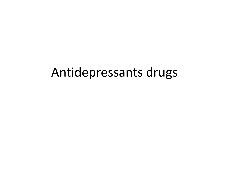### Antidepressants drugs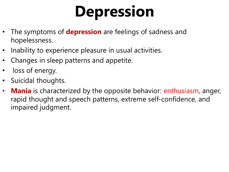# **Depression**

- The symptoms of **depression** are feelings of sadness and hopelessness.
- Inability to experience pleasure in usual activities.
- Changes in sleep patterns and appetite.
- loss of energy.
- Suicidal thoughts.
- **Mania** is characterized by the opposite behavior: enthusiasm, anger, rapid thought and speech patterns, extreme self-confidence, and impaired judgment.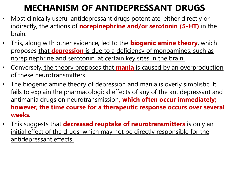### **MECHANISM OF ANTIDEPRESSANT DRUGS**

- Most clinically useful antidepressant drugs potentiate, either directly or indirectly, the actions of **norepinephrine and/or serotonin (5-HT)** in the brain.
- This, along with other evidence, led to the **biogenic amine theory**, which proposes that **depression** is due to a deficiency of monoamines, such as norepinephrine and serotonin, at certain key sites in the brain.
- Conversely, the theory proposes that **mania** is caused by an overproduction of these neurotransmitters.
- The biogenic amine theory of depression and mania is overly simplistic. It fails to explain the pharmacological effects of any of the antidepressant and antimania drugs on neurotransmission**, which often occur immediately; however, the time course for a therapeutic response occurs over several weeks**.
- This suggests that **decreased reuptake of neurotransmitters** is only an initial effect of the drugs, which may not be directly responsible for the antidepressant effects.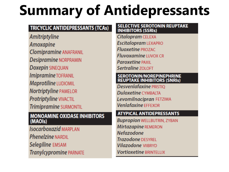### **Summary of Antidepressants**

#### **TRICYCLIC ANTIDEPRESSANTS (TCAs)**

Amitriptyline **Amoxapine Clomipramine ANAFRANIL Desipramine NORPRAMIN Doxepin SINEQUAN** Imipramine TOFRANIL Maprotiline LUDIOMIL **Nortriptyline PAMELOR** Protriptyline VIVACTIL Trimipramine SURMONTIL

#### **MONOAMINE OXIDASE INHIBITORS** (MAOIs)

**Isocarboxazid MARPLAN Phenelzine NARDIL** Selegiline EMSAM Tranylcypromine PARNATE

#### **SELECTIVE SEROTONIN REUPTAKE INHIBITORS (SSRIs)**

Citalopram CELEXA **Escitalopram LEXAPRO Fluoxetine PROZAC Fluvoxamine IUVOX CR Paroxetine PAXII** Sertraline 701 OFT

### SEROTONIN/NOREPINEPHRINE<br>REUPTAKE INHIBITORS (SNRIs)

Desvenlafaxine PRISTIO **Duloxetine CYMBALTA** Levomilnacipran FETZIMA **Venlafaxine EFFEXOR** 

#### **ATYPICAL ANTIDEPRESSANTS**

**Bupropion WELLBUTRIN, ZYBAN** Mirtazapine REMERON **Nefazodone Trazodone DESYREL Vilazodone VIIBRYD Vortioxetine BRINTELLIX**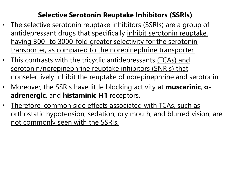#### **Selective Serotonin Reuptake Inhibitors (SSRIs)**

- The selective serotonin reuptake inhibitors (SSRIs) are a group of antidepressant drugs that specifically inhibit serotonin reuptake, having 300- to 3000-fold greater selectivity for the serotonin transporter, as compared to the norepinephrine transporter.
- This contrasts with the tricyclic antidepressants (TCAs) and serotonin/norepinephrine reuptake inhibitors (SNRIs) that nonselectively inhibit the reuptake of norepinephrine and serotonin
- Moreover, the SSRIs have little blocking activity at **muscarinic**, **αadrenergic**, and **histaminic H1** receptors.
- Therefore, common side effects associated with TCAs, such as orthostatic hypotension, sedation, dry mouth, and blurred vision, are not commonly seen with the SSRIs.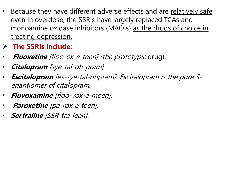- Because they have different adverse effects and are relatively safe even in overdose, the **SSRIs** have largely replaced TCAs and monoamine oxidase inhibitors (MAOIs) as the drugs of choice in treating depression.
- **The SSRIs include:**
- **Fluoxetine** [floo-ox-e-teen] (the prototypic drug),
- **Citalopram** [sye-tal-oh-pram]
- **Escitalopram** [es-sye-tal-ohpram]. Escitalopram is the pure Senantiomer of citalopram.
- **Fluvoxamine** [floo-vox-e-meen].
- **Paroxetine** [pa-rox-e-teen].
- **Sertraline** [SER-tra-leen].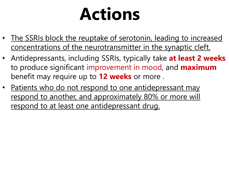# **Actions**

- The SSRIs block the reuptake of serotonin, leading to increased concentrations of the neurotransmitter in the synaptic cleft.
- Antidepressants, including SSRIs, typically take **at least 2 weeks**  to produce significant improvement in mood, and **maximum** benefit may require up to **12 weeks** or more .
- Patients who do not respond to one antidepressant may respond to another, and approximately 80% or more will respond to at least one antidepressant drug.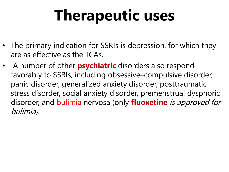## **Therapeutic uses**

- The primary indication for SSRIs is depression, for which they are as effective as the TCAs.
- A number of other **psychiatric** disorders also respond favorably to SSRIs, including obsessive–compulsive disorder, panic disorder, generalized anxiety disorder, posttraumatic stress disorder, social anxiety disorder, premenstrual dysphoric disorder, and bulimia nervosa (only **fluoxetine** is approved for bulimia).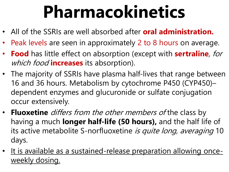# **Pharmacokinetics**

- All of the SSRIs are well absorbed after **oral administration.**
- Peak levels are seen in approximately 2 to 8 hours on average.
- **Food** has little effect on absorption (except with **sertraline**, for which food **increases** its absorption).
- The majority of SSRIs have plasma half-lives that range between 16 and 36 hours. Metabolism by cytochrome P450 (CYP450)– dependent enzymes and glucuronide or sulfate conjugation occur extensively.
- **Fluoxetine** differs from the other members of the class by having a much **longer half-life (50 hours),** and the half life of its active metabolite S-norfluoxetine is quite long, averaging 10 days.
- It is available as a sustained-release preparation allowing onceweekly dosing.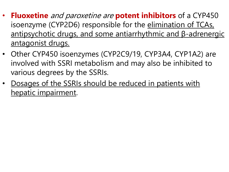- **Fluoxetine** and paroxetine are **potent inhibitors** of a CYP450 isoenzyme (CYP2D6) responsible for the elimination of TCAs, antipsychotic drugs, and some antiarrhythmic and β-adrenergic antagonist drugs.
- Other CYP450 isoenzymes (CYP2C9/19, CYP3A4, CYP1A2) are involved with SSRI metabolism and may also be inhibited to various degrees by the SSRIs.
- Dosages of the SSRIs should be reduced in patients with hepatic impairment.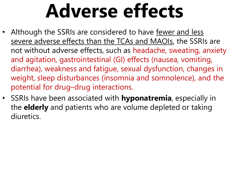# **Adverse effects**

- Although the SSRIs are considered to have fewer and less severe adverse effects than the TCAs and MAOIs, the SSRIs are not without adverse effects, such as headache, sweating, anxiety and agitation, gastrointestinal (GI) effects (nausea, vomiting, diarrhea), weakness and fatigue, sexual dysfunction, changes in weight, sleep disturbances (insomnia and somnolence), and the potential for drug–drug interactions.
- SSRIs have been associated with **hyponatremia**, especially in the **elderly** and patients who are volume depleted or taking diuretics.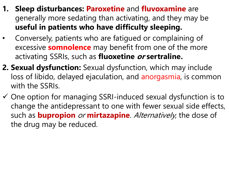- **1. Sleep disturbances: Paroxetine** and **fluvoxamine** are generally more sedating than activating, and they may be **useful in patients who have difficulty sleeping.**
- Conversely, patients who are fatigued or complaining of excessive **somnolence** may benefit from one of the more activating SSRIs, such as **fluoxetine or sertraline.**
- **2. Sexual dysfunction:** Sexual dysfunction, which may include loss of libido, delayed ejaculation, and anorgasmia, is common with the SSRIs.
- $\checkmark$  One option for managing SSRI-induced sexual dysfunction is to change the antidepressant to one with fewer sexual side effects, such as **bupropion** or **mirtazapine**. Alternatively, the dose of the drug may be reduced.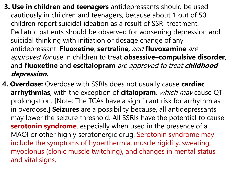- **3. Use in children and teenagers** antidepressants should be used cautiously in children and teenagers, because about 1 out of 50 children report suicidal ideation as a result of SSRI treatment. Pediatric patients should be observed for worsening depression and suicidal thinking with initiation or dosage change of any antidepressant. **Fluoxetine**, **sertraline**, and **fluvoxamine** are approved for use in children to treat **obsessive–compulsive disorder**, and **fluoxetine** and **escitalopram** are approved to treat **childhood depression.**
- **4. Overdose:** Overdose with SSRIs does not usually cause **cardiac arrhythmias**, with the exception of **citalopram**, which may cause QT prolongation. [Note: The TCAs have a significant risk for arrhythmias in overdose.] **Seizures** are a possibility because, all antidepressants may lower the seizure threshold. All SSRIs have the potential to cause **serotonin syndrome**, especially when used in the presence of a MAOI or other highly serotonergic drug. Serotonin syndrome may include the symptoms of hyperthermia, muscle rigidity, sweating, myoclonus (clonic muscle twitching), and changes in mental status and vital signs.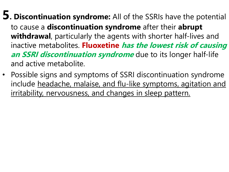- **5. Discontinuation syndrome:** All of the SSRIs have the potential to cause a **discontinuation syndrome** after their **abrupt withdrawal**, particularly the agents with shorter half-lives and inactive metabolites. **Fluoxetine has the lowest risk of causing an SSRI discontinuation syndrome** due to its longer half-life and active metabolite.
- Possible signs and symptoms of SSRI discontinuation syndrome include headache, malaise, and flu-like symptoms, agitation and irritability, nervousness, and changes in sleep pattern.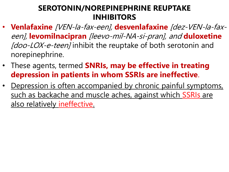#### **SEROTONIN/NOREPINEPHRINE REUPTAKE INHIBITORS**

- **Venlafaxine** [VEN-la-fax-een], **desvenlafaxine** [dez-VEN-la-faxeen], **levomilnacipran** [leevo-mil-NA-si-pran], and **duloxetine** [doo-LOX-e-teen] inhibit the reuptake of both serotonin and norepinephrine.
- These agents, termed **SNRIs, may be effective in treating depression in patients in whom SSRIs are ineffective**.
- Depression is often accompanied by chronic painful symptoms, such as backache and muscle aches, against which SSRIs are also relatively ineffective.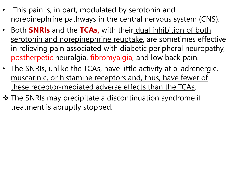- This pain is, in part, modulated by serotonin and norepinephrine pathways in the central nervous system (CNS).
- Both **SNRIs** and the **TCAs,** with their dual inhibition of both serotonin and norepinephrine reuptake, are sometimes effective in relieving pain associated with diabetic peripheral neuropathy, postherpetic neuralgia, fibromyalgia, and low back pain.
- The SNRIs, unlike the TCAs, have little activity at  $\alpha$ -adrenergic, muscarinic, or histamine receptors and, thus, have fewer of these receptor-mediated adverse effects than the TCAs.
- $\triangle$  The SNRIs may precipitate a discontinuation syndrome if treatment is abruptly stopped.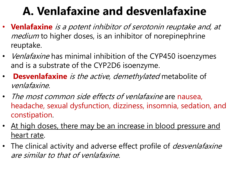### **A. Venlafaxine and desvenlafaxine**

- **Venlafaxine** is a potent inhibitor of serotonin reuptake and, at medium to higher doses, is an inhibitor of norepinephrine reuptake.
- *Venlafaxine* has minimal inhibition of the CYP450 isoenzymes and is a substrate of the CYP2D6 isoenzyme.
- **Desvenlafaxine** is the active, demethylated metabolite of venlafaxine.
- The most common side effects of venlafaxine are nausea, headache, sexual dysfunction, dizziness, insomnia, sedation, and constipation.
- At high doses, there may be an increase in blood pressure and heart rate.
- The clinical activity and adverse effect profile of *desvenlafaxine* are similar to that of venlafaxine.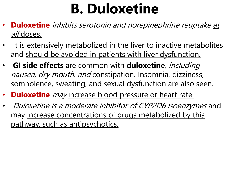### **B. Duloxetine**

- **Duloxetine** inhibits serotonin and norepinephrine reuptake at all doses.
- It is extensively metabolized in the liver to inactive metabolites and should be avoided in patients with liver dysfunction.
- **GI side effects** are common with **duloxetine**, including nausea, dry mouth, and constipation. Insomnia, dizziness, somnolence, sweating, and sexual dysfunction are also seen.
- **Duloxetine** may increase blood pressure or heart rate.
- Duloxetine is a moderate inhibitor of CYP2D6 isoenzymes and may increase concentrations of drugs metabolized by this pathway, such as antipsychotics.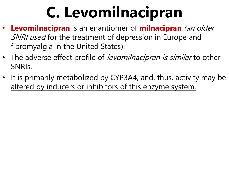# **C. Levomilnacipran**

- **Levomilnacipran** is an enantiomer of **milnacipran** (an older SNRI used for the treatment of depression in Europe and fibromyalgia in the United States).
- The adverse effect profile of *levomilnacipran is similar* to other SNRIs.
- It is primarily metabolized by CYP3A4, and, thus, activity may be altered by inducers or inhibitors of this enzyme system.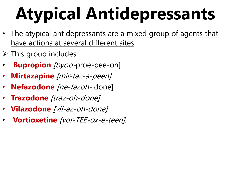# **Atypical Antidepressants**

- The atypical antidepressants are a mixed group of agents that have actions at several different sites.
- $\triangleright$  This group includes:
- **Bupropion** [byoo-proe-pee-on]
- **Mirtazapine** [mir-taz-a-peen]
- Nefazodone *[ne-fazoh-* done]
- **Trazodone** [traz-oh-done]
- **Vilazodone** [vil-az-oh-done]
- **Vortioxetine** [vor-TEE-ox-e-teen].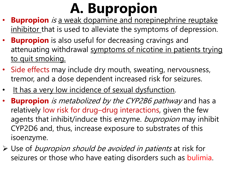### **A. Bupropion**

- **Bupropion** is a weak dopamine and norepinephrine reuptake inhibitor that is used to alleviate the symptoms of depression.
- **Bupropion** is also useful for decreasing cravings and attenuating withdrawal symptoms of nicotine in patients trying to quit smoking.
- Side effects may include dry mouth, sweating, nervousness, tremor, and a dose dependent increased risk for seizures.
- It has a very low incidence of sexual dysfunction.
- **Bupropion** is metabolized by the CYP2B6 pathway and has a relatively low risk for drug–drug interactions, given the few agents that inhibit/induce this enzyme. bupropion may inhibit CYP2D6 and, thus, increase exposure to substrates of this isoenzyme.
- $\triangleright$  Use of bupropion should be avoided in patients at risk for seizures or those who have eating disorders such as bulimia.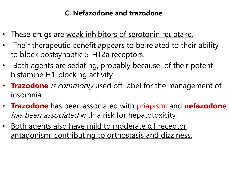#### **C. Nefazodone and trazodone**

- These drugs are weak inhibitors of serotonin reuptake.
- Their therapeutic benefit appears to be related to their ability to block postsynaptic 5-HT2a receptors.
- Both agents are sedating, probably because of their potent histamine H1-blocking activity.
- **Trazodone** is commonly used off-label for the management of insomnia.
- **Trazodone** has been associated with priapism, and **nefazodone** has been associated with a risk for hepatotoxicity.
- Both agents also have mild to moderate α1 receptor antagonism, contributing to orthostasis and dizziness.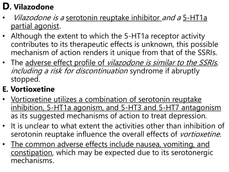### **D. Vilazodone**

- Vilazodone is a serotonin reuptake inhibitor and a 5-HT1a partial agonist.
- Although the extent to which the 5-HT1a receptor activity contributes to its therapeutic effects is unknown, this possible mechanism of action renders it unique from that of the SSRIs.
- The adverse effect profile of *vilazodone is similar to the SSRIs*, including a risk for discontinuation syndrome if abruptly stopped.

#### **E. Vortioxetine**

- Vortioxetine utilizes a combination of serotonin reuptake inhibition, 5-HT1a agonism, and 5-HT3 and 5-HT7 antagonism as its suggested mechanisms of action to treat depression.
- It is unclear to what extent the activities other than inhibition of serotonin reuptake influence the overall effects of vortioxetine.
- The common adverse effects include nausea, vomiting, and constipation, which may be expected due to its serotonergic mechanisms.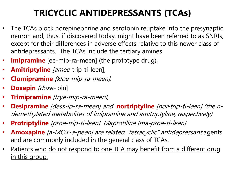### **TRICYCLIC ANTIDEPRESSANTS (TCAs)**

- The TCAs block norepinephrine and serotonin reuptake into the presynaptic neuron and, thus, if discovered today, might have been referred to as SNRIs, except for their differences in adverse effects relative to this newer class of antidepressants. The TCAs include the tertiary amines
- **Imipramine** [ee-mip-ra-meen] (the prototype drug),
- **Amitriptyline** [amee-trip-ti-leen],
- **Clomipramine** [kloe-mip-ra-meen],
- **Doxepin** [doxe-pin]
- **Trimipramine** [trye-mip-ra-meen],
- **Desipramine** [dess-ip-ra-meen] and **nortriptyline** [nor-trip-ti-leen] (the ndemethylated metabolites of imipramine and amitriptyline, respectively)
- **Protriptyline** [proe-trip-ti-leen]. Maprotiline [ma-proe-ti-leen]
- **Amoxapine** [a-MOX-a-peen] are related "tetracyclic" antidepressant agents and are commonly included in the general class of TCAs.
- Patients who do not respond to one TCA may benefit from a different drug in this group.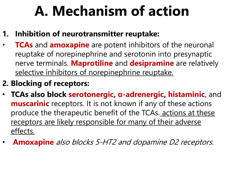### **A. Mechanism of action**

- **1. Inhibition of neurotransmitter reuptake:**
- **TCAs** and **amoxapine** are potent inhibitors of the neuronal reuptake of norepinephrine and serotonin into presynaptic nerve terminals. **Maprotiline** and **desipramine** are relatively selective inhibitors of norepinephrine reuptake.
- **2. Blocking of receptors:**
- **TCAs also block serotonergic, α-adrenergic, histaminic**, and **muscarinic** receptors. It is not known if any of these actions produce the therapeutic benefit of the TCAs. actions at these receptors are likely responsible for many of their adverse effects.
- **Amoxapine** also blocks 5-HT2 and dopamine D2 receptors.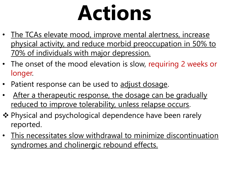# **Actions**

- The TCAs elevate mood, improve mental alertness, increase physical activity, and reduce morbid preoccupation in 50% to 70% of individuals with major depression.
- The onset of the mood elevation is slow, requiring 2 weeks or longer.
- Patient response can be used to adjust dosage.
- After a therapeutic response, the dosage can be gradually reduced to improve tolerability, unless relapse occurs.
- ❖ Physical and psychological dependence have been rarely reported.
- This necessitates slow withdrawal to minimize discontinuation syndromes and cholinergic rebound effects.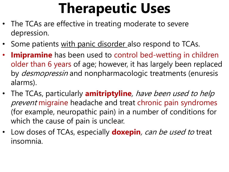### **Therapeutic Uses**

- The TCAs are effective in treating moderate to severe depression.
- Some patients with panic disorder also respond to TCAs.
- **Imipramine** has been used to control bed-wetting in children older than 6 years of age; however, it has largely been replaced by *desmopressin* and nonpharmacologic treatments (enuresis alarms).
- The TCAs, particularly **amitriptyline**, have been used to help prevent migraine headache and treat chronic pain syndromes (for example, neuropathic pain) in a number of conditions for which the cause of pain is unclear.
- Low doses of TCAs, especially **doxepin**, can be used to treat insomnia.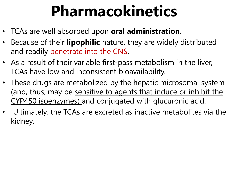## **Pharmacokinetics**

- TCAs are well absorbed upon **oral administration**.
- Because of their **lipophilic** nature, they are widely distributed and readily penetrate into the CNS.
- As a result of their variable first-pass metabolism in the liver, TCAs have low and inconsistent bioavailability.
- These drugs are metabolized by the hepatic microsomal system (and, thus, may be sensitive to agents that induce or inhibit the CYP450 isoenzymes) and conjugated with glucuronic acid.
- Ultimately, the TCAs are excreted as inactive metabolites via the kidney.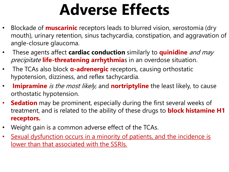## **Adverse Effects**

- Blockade of **muscarinic** receptors leads to blurred vision, xerostomia (dry mouth), urinary retention, sinus tachycardia, constipation, and aggravation of angle-closure glaucoma.
- These agents affect **cardiac conduction** similarly to **quinidine** and may precipitate **life-threatening arrhythmia**s in an overdose situation.
- The TCAs also block **α-adrenergic** receptors, causing orthostatic hypotension, dizziness, and reflex tachycardia.
- **Imipramine** is the most likely, and **nortriptyline** the least likely, to cause orthostatic hypotension.
- **Sedation** may be prominent, especially during the first several weeks of treatment, and is related to the ability of these drugs to **block histamine H1 receptors.**
- Weight gain is a common adverse effect of the TCAs.
- Sexual dysfunction occurs in a minority of patients, and the incidence is lower than that associated with the SSRIs.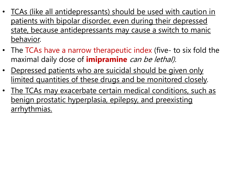- TCAs (like all antidepressants) should be used with caution in patients with bipolar disorder, even during their depressed state, because antidepressants may cause a switch to manic behavior.
- The TCAs have a narrow therapeutic index (five- to six fold the maximal daily dose of **imipramine** can be lethal).
- Depressed patients who are suicidal should be given only limited quantities of these drugs and be monitored closely.
- The TCAs may exacerbate certain medical conditions, such as benign prostatic hyperplasia, epilepsy, and preexisting arrhythmias.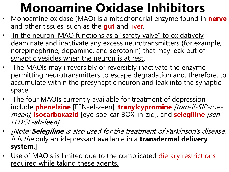### **Monoamine Oxidase Inhibitors**

- Monoamine oxidase (MAO) is a mitochondrial enzyme found in **nerve** and other tissues, such as the **gut** and liver.
- In the neuron, MAO functions as a "safety valve" to oxidatively deaminate and inactivate any excess neurotransmitters (for example, norepinephrine, dopamine, and serotonin) that may leak out of synaptic vesicles when the neuron is at rest.
- The MAOIs may irreversibly or reversibly inactivate the enzyme, permitting neurotransmitters to escape degradation and, therefore, to accumulate within the presynaptic neuron and leak into the synaptic space.
- The four MAOIs currently available for treatment of depression include **phenelzine** [FEN-el-zeen], **tranylcypromine** [tran-il-SIP-roemeen], **isocarboxazid** [eye-soe-car-BOX-ih-zid], and **selegiline** [seh-LEDGE-ah-leen].
- [Note: **Selegiline** is also used for the treatment of Parkinson's disease. It is the only antidepressant available in a **transdermal delivery system**.]
- Use of MAOIs is limited due to the complicated dietary restrictions required while taking these agents.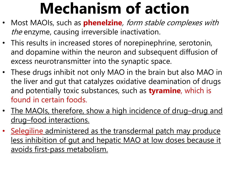## **Mechanism of action**

- Most MAOIs, such as **phenelzine**, form stable complexes with the enzyme, causing irreversible inactivation.
- This results in increased stores of norepinephrine, serotonin, and dopamine within the neuron and subsequent diffusion of excess neurotransmitter into the synaptic space.
- These drugs inhibit not only MAO in the brain but also MAO in the liver and gut that catalyzes oxidative deamination of drugs and potentially toxic substances, such as **tyramine**, which is found in certain foods.
- The MAOIs, therefore, show a high incidence of drug-drug and drug–food interactions.
- Selegiline administered as the transdermal patch may produce less inhibition of gut and hepatic MAO at low doses because it avoids first-pass metabolism.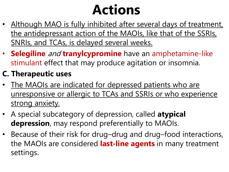### **Actions**

- Although MAO is fully inhibited after several days of treatment, the antidepressant action of the MAOIs, like that of the SSRIs, SNRIs, and TCAs, is delayed several weeks.
- **Selegiline** and **tranylcypromine** have an amphetamine-like stimulant effect that may produce agitation or insomnia.

#### **C. Therapeutic uses**

- The MAOIs are indicated for depressed patients who are unresponsive or allergic to TCAs and SSRIs or who experience strong anxiety.
- A special subcategory of depression, called **atypical depression**, may respond preferentially to MAOIs.
- Because of their risk for drug–drug and drug–food interactions, the MAOIs are considered **last-line agents** in many treatment settings.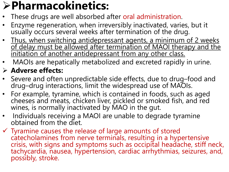### **Pharmacokinetics:**

- These drugs are well absorbed after oral administration.
- Enzyme regeneration, when irreversibly inactivated, varies, but it usually occurs several weeks after termination of the drug.
- Thus, when switching antidepressant agents, a minimum of 2 weeks of delay must be allowed after termination of MAOI therapy and the initiation of another antidepressant from any other class.
- MAOIs are hepatically metabolized and excreted rapidly in urine.

#### **Adverse effects:**

- Severe and often unpredictable side effects, due to drug-food and drug–drug interactions, limit the widespread use of MAOIs.
- For example, tyramine, which is contained in foods, such as aged cheeses and meats, chicken liver, pickled or smoked fish, and red wines, is normally inactivated by MAO in the gut.
- Individuals receiving a MAOI are unable to degrade tyramine obtained from the diet.
- $\checkmark$  Tyramine causes the release of large amounts of stored catecholamines from nerve terminals, resulting in a hypertensive crisis, with signs and symptoms such as occipital headache, stiff neck, tachycardia, nausea, hypertension, cardiac arrhythmias, seizures, and, possibly, stroke.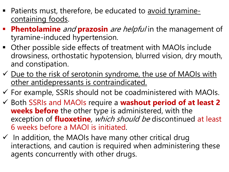- Patients must, therefore, be educated to avoid tyraminecontaining foods.
- **Phentolamine** and **prazosin** are helpful in the management of tyramine-induced hypertension.
- Other possible side effects of treatment with MAOIs include drowsiness, orthostatic hypotension, blurred vision, dry mouth, and constipation.
- $\checkmark$  Due to the risk of serotonin syndrome, the use of MAOIs with other antidepressants is contraindicated.
- $\checkmark$  For example, SSRIs should not be coadministered with MAOIs.
- Both SSRIs and MAOIs require a **washout period of at least 2 weeks before** the other type is administered, with the exception of **fluoxetine**, which should be discontinued at least 6 weeks before a MAOI is initiated.
- $\checkmark$  In addition, the MAOIs have many other critical drug interactions, and caution is required when administering these agents concurrently with other drugs.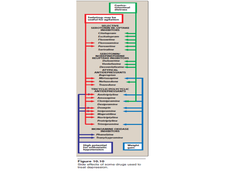

#### Figure 10.10 Side effects of some drugs used to treat depression.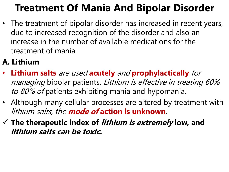### **Treatment Of Mania And Bipolar Disorder**

• The treatment of bipolar disorder has increased in recent years, due to increased recognition of the disorder and also an increase in the number of available medications for the treatment of mania.

#### **A. Lithium**

- **Lithium salts** are used **acutely** and **prophylactically** for managing bipolar patients. Lithium is effective in treating 60% to 80% of patients exhibiting mania and hypomania.
- Although many cellular processes are altered by treatment with lithium salts, the **mode of action is unknown**.
- **The therapeutic index of lithium is extremely low, and lithium salts can be toxic.**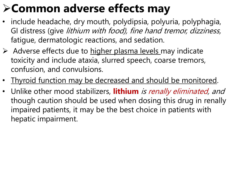### **Common adverse effects may**

- include headache, dry mouth, polydipsia, polyuria, polyphagia, GI distress (give lithium with food), fine hand tremor, dizziness, fatigue, dermatologic reactions, and sedation.
- $\triangleright$  Adverse effects due to higher plasma levels may indicate toxicity and include ataxia, slurred speech, coarse tremors, confusion, and convulsions.
- Thyroid function may be decreased and should be monitored.
- Unlike other mood stabilizers, **lithium** is renally eliminated, and though caution should be used when dosing this drug in renally impaired patients, it may be the best choice in patients with hepatic impairment.